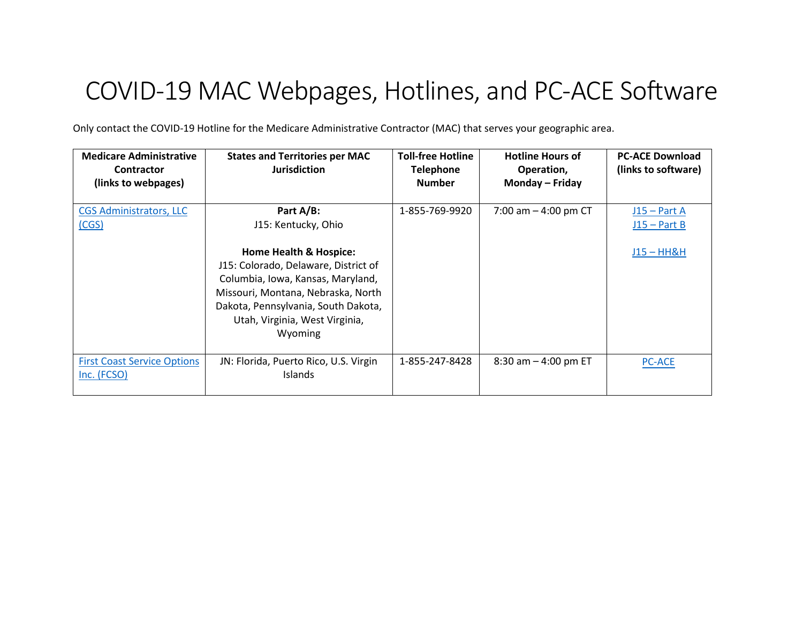## COVID-19 MAC Webpages, Hotlines, and PC-ACE Software

Only contact the COVID-19 Hotline for the Medicare Administrative Contractor (MAC) that serves your geographic area.

| <b>Medicare Administrative</b><br><b>Contractor</b><br>(links to webpages) | <b>States and Territories per MAC</b><br><b>Jurisdiction</b>                                                                                                                                                                             | <b>Toll-free Hotline</b><br><b>Telephone</b><br><b>Number</b> | <b>Hotline Hours of</b><br>Operation,<br>Monday - Friday | <b>PC-ACE Download</b><br>(links to software) |
|----------------------------------------------------------------------------|------------------------------------------------------------------------------------------------------------------------------------------------------------------------------------------------------------------------------------------|---------------------------------------------------------------|----------------------------------------------------------|-----------------------------------------------|
| <b>CGS Administrators, LLC</b><br>(CGS)                                    | Part A/B:<br>J15: Kentucky, Ohio                                                                                                                                                                                                         | 1-855-769-9920                                                | 7:00 am $-$ 4:00 pm CT                                   | $J15 - Part A$<br>$J15 - Part B$              |
|                                                                            | <b>Home Health &amp; Hospice:</b><br>J15: Colorado, Delaware, District of<br>Columbia, Iowa, Kansas, Maryland,<br>Missouri, Montana, Nebraska, North<br>Dakota, Pennsylvania, South Dakota,<br>Utah, Virginia, West Virginia,<br>Wyoming |                                                               |                                                          | <u> J15 – HH&amp;H</u>                        |
| <b>First Coast Service Options</b><br>Inc. (FCSO)                          | JN: Florida, Puerto Rico, U.S. Virgin<br>Islands                                                                                                                                                                                         | 1-855-247-8428                                                | $8:30$ am $-4:00$ pm ET                                  | <b>PC-ACE</b>                                 |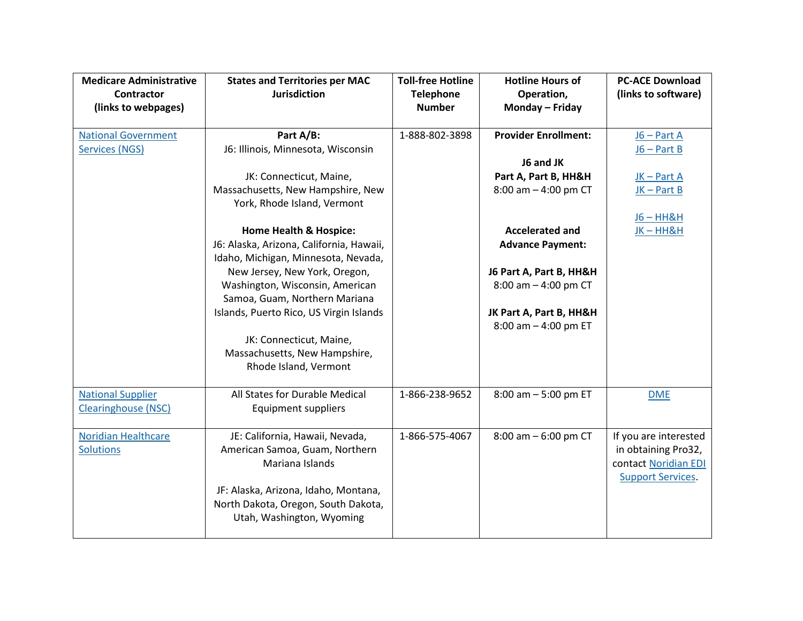| <b>Medicare Administrative</b><br>Contractor<br>(links to webpages) | <b>States and Territories per MAC</b><br><b>Jurisdiction</b>                                                                                                                                                                                                                                                                                              | <b>Toll-free Hotline</b><br><b>Telephone</b><br><b>Number</b> | <b>Hotline Hours of</b><br>Operation,<br>Monday - Friday                                                                                                    | <b>PC-ACE Download</b><br>(links to software)                                                    |
|---------------------------------------------------------------------|-----------------------------------------------------------------------------------------------------------------------------------------------------------------------------------------------------------------------------------------------------------------------------------------------------------------------------------------------------------|---------------------------------------------------------------|-------------------------------------------------------------------------------------------------------------------------------------------------------------|--------------------------------------------------------------------------------------------------|
| <b>National Government</b><br><b>Services (NGS)</b>                 | Part A/B:<br>J6: Illinois, Minnesota, Wisconsin<br>JK: Connecticut, Maine,<br>Massachusetts, New Hampshire, New<br>York, Rhode Island, Vermont                                                                                                                                                                                                            | 1-888-802-3898                                                | <b>Provider Enrollment:</b><br>J6 and JK<br>Part A, Part B, HH&H<br>8:00 am $-$ 4:00 pm CT                                                                  | $J6 - Part A$<br>$J6 - Part B$<br>JK-Part A<br>$JK - Part B$<br>$J6 - H H$ &H                    |
|                                                                     | <b>Home Health &amp; Hospice:</b><br>J6: Alaska, Arizona, California, Hawaii,<br>Idaho, Michigan, Minnesota, Nevada,<br>New Jersey, New York, Oregon,<br>Washington, Wisconsin, American<br>Samoa, Guam, Northern Mariana<br>Islands, Puerto Rico, US Virgin Islands<br>JK: Connecticut, Maine,<br>Massachusetts, New Hampshire,<br>Rhode Island, Vermont |                                                               | <b>Accelerated and</b><br><b>Advance Payment:</b><br>J6 Part A, Part B, HH&H<br>8:00 am $-$ 4:00 pm CT<br>JK Part A, Part B, HH&H<br>8:00 am $-$ 4:00 pm ET | $JK - HH&H$                                                                                      |
| <b>National Supplier</b><br><b>Clearinghouse (NSC)</b>              | All States for Durable Medical<br><b>Equipment suppliers</b>                                                                                                                                                                                                                                                                                              | 1-866-238-9652                                                | 8:00 am - 5:00 pm ET                                                                                                                                        | <b>DME</b>                                                                                       |
| <b>Noridian Healthcare</b><br><b>Solutions</b>                      | JE: California, Hawaii, Nevada,<br>American Samoa, Guam, Northern<br>Mariana Islands<br>JF: Alaska, Arizona, Idaho, Montana,<br>North Dakota, Oregon, South Dakota,<br>Utah, Washington, Wyoming                                                                                                                                                          | 1-866-575-4067                                                | $8:00$ am $-6:00$ pm CT                                                                                                                                     | If you are interested<br>in obtaining Pro32,<br>contact Noridian EDI<br><b>Support Services.</b> |